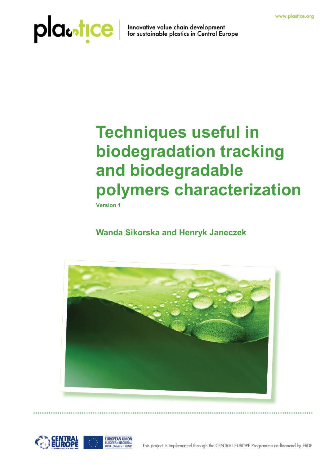## DICenTICe Innovative value chain development

### **Techniques useful in biodegradation tracking and biodegradable polymers characterization**

**Version 1**

### **Wanda Sikorska and Henryk Janeczek**



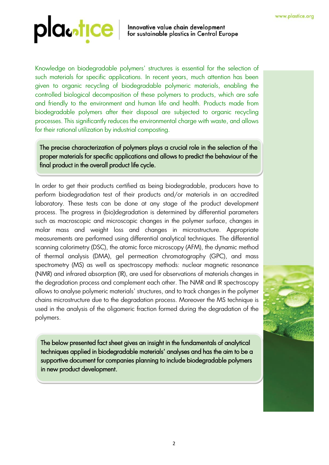Innovative value chain development<br>for sustainable plastics in Central Europe

Knowledge on biodegradable polymers' structures is essential for the selection of such materials for specific applications. In recent years, much attention has been given to organic recycling of biodegradable polymeric materials, enabling the controlled biological decomposition of these polymers to products, which are safe and friendly to the environment and human life and health. Products made from biodegradable polymers after their disposal are subjected to organic recycling processes. This significantly reduces the environmental charge with waste, and allows for their rational utilization by industrial composting.

The precise characterization of polymers plays a crucial role in the selection of the proper materials for specific applications and allows to predict the behaviour of the final product in the overall product life cycle.

In order to get their products certified as being biodegradable, producers have to perform biodegradation test of their products and/or materials in an accredited laboratory. These tests can be done at any stage of the product development process. The progress in (bio)degradation is determined by differential parameters such as macroscopic and microscopic changes in the polymer surface, changes in molar mass and weight loss and changes in microstructure. Appropriate measurements are performed using differential analytical techniques. The differential scanning calorimetry (DSC), the atomic force microscopy (AFM), the dynamic method of thermal analysis (DMA), gel permeation chromatography (GPC), and mass spectrometry (MS) as well as spectroscopy methods: nuclear magnetic resonance (NMR) and infrared absorption (IR), are used for observations of materials changes in the degradation process and complement each other. The NMR and IR spectroscopy allows to analyse polymeric materials' structures, and to track changes in the polymer chains microstructure due to the degradation process. Moreover the MS technique is used in the analysis of the oligomeric fraction formed during the degradation of the polymers.

The below presented fact sheet gives an insight in the fundamentals of analytical techniques applied in biodegradable materials' analyses and has the aim to be a supportive document for companies planning to include biodegradable polymers in new product development.

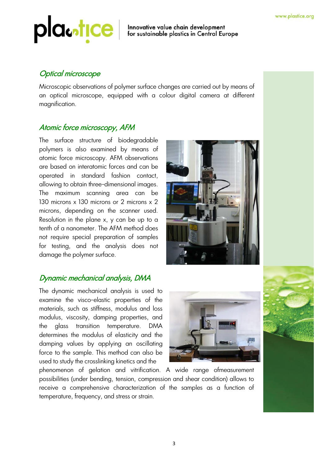# DICentICe Innovative value chain development<br>for sustainable plastics in Central Europe

### Optical microscope

Microscopic observations of polymer surface changes are carried out by means of an optical microscope, equipped with a colour digital camera at different magnification.

### Atomic force microscopy, AFM

The surface structure of biodegradable polymers is also examined by means of atomic force microscopy. AFM observations are based on interatomic forces and can be operated in standard fashion contact, allowing to obtain three-dimensional images. The maximum scanning area can be 130 microns x 130 microns or 2 microns x 2 microns, depending on the scanner used. Resolution in the plane x, y can be up to a tenth of a nanometer. The AFM method does not require special preparation of samples for testing, and the analysis does not damage the polymer surface.

### Dynamic mechanical analysis, DMA

The dynamic mechanical analysis is used to examine the visco-elastic properties of the materials, such as stiffness, modulus and loss modulus, viscosity, damping properties, and the glass transition temperature. DMA determines the modulus of elasticity and the damping values by applying an oscillating force to the sample. This method can also be used to study the crosslinking kinetics and the



phenomenon of gelation and vitrification. A wide range ofmeasurement possibilities (under bending, tension, compression and shear condition) allows to receive a comprehensive characterization of the samples as a function of temperature, frequency, and stress or strain.

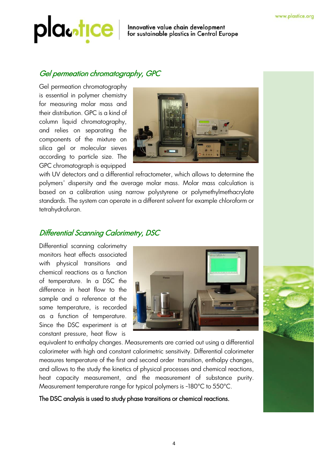# DICE Innovative value chain development<br>for sustainable plastics in Central Europe

### Gel permeation chromatography, GPC

Gel permeation chromatography is essential in polymer chemistry for measuring molar mass and their distribution. GPC is a kind of column liquid chromatography, and relies on separating the components of the mixture on silica gel or molecular sieves according to particle size. The GPC chromatograph is equipped



with UV detectors and a differential refractometer, which allows to determine the polymers' dispersity and the average molar mass. Molar mass calculation is based on a calibration using narrow polystyrene or polymethylmethacrylate standards. The system can operate in a different solvent for example chloroform or tetrahydrofuran.

### Differential Scanning Calorimetry, DSC

Differential scanning calorimetry monitors heat effects associated with physical transitions and chemical reactions as a function of temperature. In a DSC the difference in heat flow to the sample and a reference at the same temperature, is recorded as a function of temperature. Since the DSC experiment is at constant pressure, heat flow is



equivalent to enthalpy changes. Measurements are carried out using a differential calorimeter with high and constant calorimetric sensitivity. Differential calorimeter measures temperature of the first and second order transition, enthalpy changes, and allows to the study the kinetics of physical processes and chemical reactions, heat capacity measurement, and the measurement of substance purity. Measurement temperature range for typical polymers is -180°C to 550°C.

The DSC analysis is used to study phase transitions or chemical reactions.

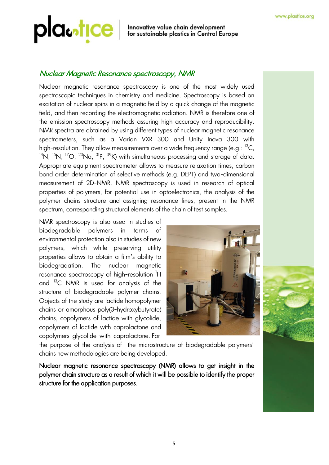### Innovative value chain development<br>for sustainable plastics in Central Europe

### Nuclear Magnetic Resonance spectroscopy, NMR

Nuclear magnetic resonance spectroscopy is one of the most widely used spectroscopic techniques in chemistry and medicine. Spectroscopy is based on excitation of nuclear spins in a magnetic field by a quick change of the magnetic field, and then recording the electromagnetic radiation. NMR is therefore one of the emission spectroscopy methods assuring high accuracy and reproducibility. NMR spectra are obtained by using different types of nuclear magnetic resonance spectrometers, such as a Varian VXR 300 and Unity Inova 300 with high-resolution. They allow measurements over a wide frequency range (e.g.:  $^{13}C$ ,  $14N$ ,  $15N$ ,  $17O$ ,  $23Na$ ,  $31P$ ,  $39K$ ) with simultaneous processing and storage of data. Appropriate equipment spectrometer allows to measure relaxation times, carbon bond order determination of selective methods (e.g. DEPT) and two-dimensional measurement of 2D-NMR. NMR spectroscopy is used in research of optical properties of polymers, for potential use in optoelectronics, the analysis of the polymer chains structure and assigning resonance lines, present in the NMR spectrum, corresponding structural elements of the chain of test samples.

NMR spectroscopy is also used in studies of biodegradable polymers in terms of environmental protection also in studies of new polymers, which while preserving utility properties allows to obtain a film's ability to biodegradation. The nuclear magnetic resonance spectroscopy of high-resolution <sup>1</sup>H and <sup>13</sup>C NMR is used for analysis of the structure of biodegradable polymer chains. Objects of the study are lactide homopolymer chains or amorphous poly(3-hydroxybutyrate) chains, copolymers of lactide with glycolide, copolymers of lactide with caprolactone and copolymers glycolide with caprolactone. For



the purpose of the analysis of the microstructure of biodegradable polymers' chains new methodologies are being developed.

Nuclear magnetic resonance spectroscopy (NMR) allows to get insight in the polymer chain structure as a result of which it will be possible to identify the proper structure for the application purposes.

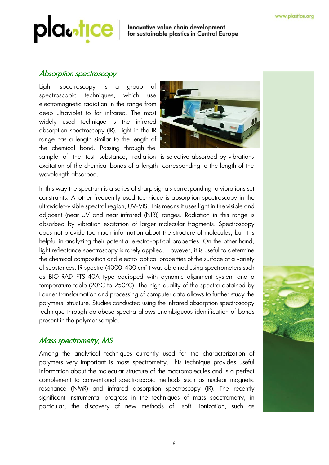### Innovative value chain development<br>for sustainable plastics in Central Europe

#### Absorption spectroscopy

wavelength absorbed.

Light spectroscopy is a group of spectroscopic techniques, which use electromagnetic radiation in the range from deep ultraviolet to far infrared. The most widely used technique is the infrared absorption spectroscopy (IR). Light in the IR range has a length similar to the length of the chemical bond. Passing through the sample of the test substance, radiation is selective absorbed by vibrations excitation of the chemical bonds of a length corresponding to the length of the



In this way the spectrum is a series of sharp signals corresponding to vibrations set constraints. Another frequently used technique is absorption spectroscopy in the [ultraviolet-](http://en.wikipedia.org/wiki/Ultraviolet)[visible](http://en.wikipedia.org/wiki/Visible_spectrum) spectral region, UV-VIS. This means it uses light in the visible and adjacent (near-UV and [near-infrared](http://en.wikipedia.org/wiki/Near-infrared) (NIR)) ranges. Radiation in this range is absorbed by vibration excitation of larger molecular fragments. Spectroscopy does not provide too much information about the structure of molecules, but it is helpful in analyzing their potential electro-optical properties. On the other hand, light reflectance spectroscopy is rarely applied. However, it is useful to determine the chemical composition and electro-optical properties of the surface of a variety of substances. IR spectra (4000-400 cm<sup>-1</sup>) was obtained using spectrometers such as BIO-RAD FTS-40A type equipped with dynamic alignment system and a temperature table (20°C to 250°C). The high quality of the spectra obtained by Fourier transformation and processing of computer data allows to further study the polymers' structure. Studies conducted using the infrared absorption spectroscopy technique through database spectra allows unambiguous identification of bonds present in the polymer sample.

### Mass spectrometry, MS

Among the analytical techniques currently used for the characterization of polymers very important is mass spectrometry. This technique provides useful information about the molecular structure of the macromolecules and is a perfect complement to conventional spectroscopic methods such as nuclear magnetic resonance (NMR) and infrared absorption spectroscopy (IR). The recently significant instrumental progress in the techniques of mass spectrometry, in particular, the discovery of new methods of "soft" ionization, such as

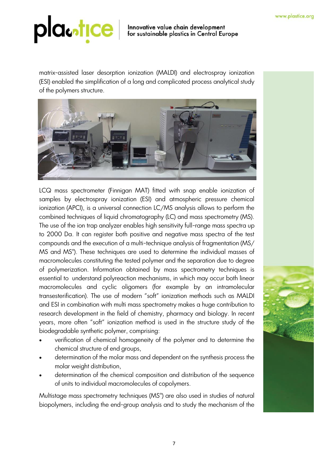### Innovative value chain development<br>for sustainable plastics in Central Europe

matrix-assisted laser desorption ionization (MALDI) and electrospray ionization (ESI) enabled the simplification of a long and complicated process analytical study of the polymers structure.



LCQ mass spectrometer (Finnigan MAT) fitted with snap enable ionization of samples by electrospray ionization (ESI) and atmospheric pressure chemical ionization (APCI), is a universal connection LC/MS analysis allows to perform the combined techniques of liquid chromatography (LC) and mass spectrometry (MS). The use of the ion trap analyzer enables high sensitivity full-range mass spectra up to 2000 Da. It can register both positive and negative mass spectra of the test compounds and the execution of a multi-technique analysis of fragmentation (MS/ MS and MS<sup>n</sup>). These techniques are used to determine the individual masses of macromolecules constituting the tested polymer and the separation due to degree of polymerization. Information obtained by mass spectrometry techniques is essential to understand polyreaction mechanisms, in which may occur both linear macromolecules and cyclic oligomers (for example by an intramolecular transesterification). The use of modern "soft" ionization methods such as MALDI and ESI in combination with multi mass spectrometry makes a huge contribution to research development in the field of chemistry, pharmacy and biology. In recent years, more often "soft" ionization method is used in the structure study of the biodegradable synthetic polymer, comprising:

- verification of chemical homogeneity of the polymer and to determine the chemical structure of end groups,
- determination of the molar mass and dependent on the synthesis process the molar weight distribution,
- determination of the chemical composition and distribution of the sequence of units to individual macromolecules of copolymers.

Multistage mass spectrometry techniques (MS<sup>n</sup>) are also used in studies of natural biopolymers, including the end-group analysis and to study the mechanism of the